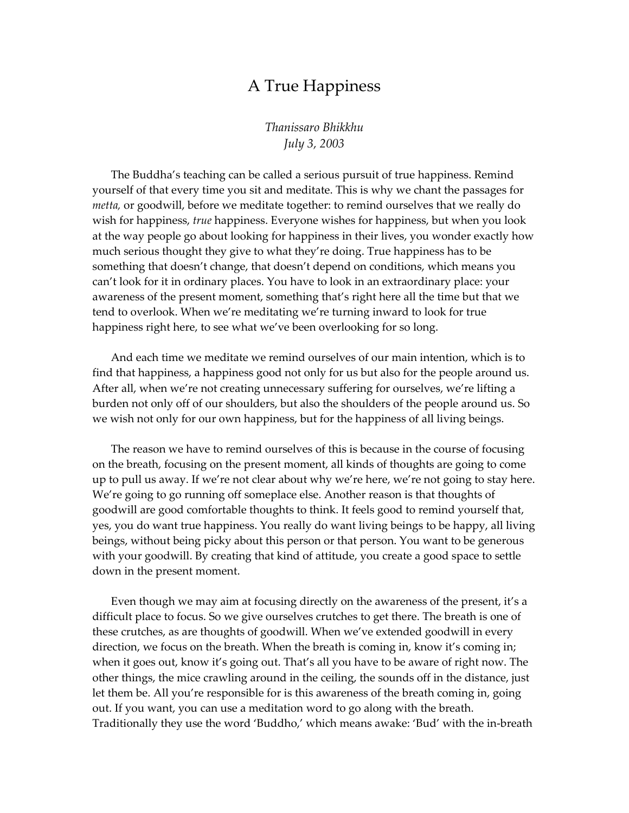## A True Happiness

*Thanissaro Bhikkhu July 3, 2003*

The Buddha's teaching can be called a serious pursuit of true happiness. Remind yourself of that every time you sit and meditate. This is why we chant the passages for *metta,* or goodwill, before we meditate together: to remind ourselves that we really do wish for happiness, *true* happiness. Everyone wishes for happiness, but when you look at the way people go about looking for happiness in their lives, you wonder exactly how much serious thought they give to what they're doing. True happiness has to be something that doesn't change, that doesn't depend on conditions, which means you can't look for it in ordinary places. You have to look in an extraordinary place: your awareness of the present moment, something that's right here all the time but that we tend to overlook. When we're meditating we're turning inward to look for true happiness right here, to see what we've been overlooking for so long.

And each time we meditate we remind ourselves of our main intention, which is to find that happiness, a happiness good not only for us but also for the people around us. After all, when we're not creating unnecessary suffering for ourselves, we're lifting a burden not only off of our shoulders, but also the shoulders of the people around us. So we wish not only for our own happiness, but for the happiness of all living beings.

The reason we have to remind ourselves of this is because in the course of focusing on the breath, focusing on the present moment, all kinds of thoughts are going to come up to pull us away. If we're not clear about why we're here, we're not going to stay here. We're going to go running off someplace else. Another reason is that thoughts of goodwill are good comfortable thoughts to think. It feels good to remind yourself that, yes, you do want true happiness. You really do want living beings to be happy, all living beings, without being picky about this person or that person. You want to be generous with your goodwill. By creating that kind of attitude, you create a good space to settle down in the present moment.

Even though we may aim at focusing directly on the awareness of the present, it's a difficult place to focus. So we give ourselves crutches to get there. The breath is one of these crutches, as are thoughts of goodwill. When we've extended goodwill in every direction, we focus on the breath. When the breath is coming in, know it's coming in; when it goes out, know it's going out. That's all you have to be aware of right now. The other things, the mice crawling around in the ceiling, the sounds off in the distance, just let them be. All you're responsible for is this awareness of the breath coming in, going out. If you want, you can use a meditation word to go along with the breath. Traditionally they use the word 'Buddho,' which means awake: 'Bud' with the in-breath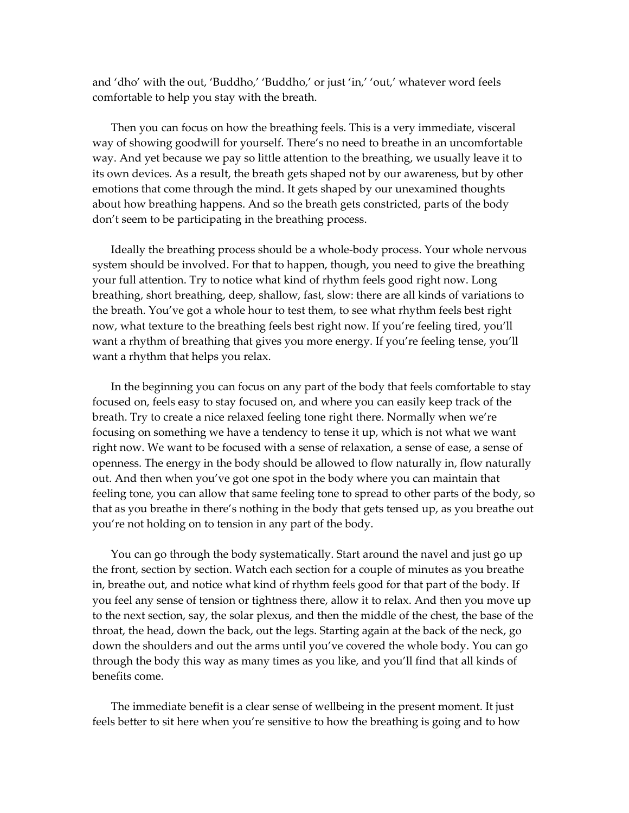and 'dho' with the out, 'Buddho,' 'Buddho,' or just 'in,' 'out,' whatever word feels comfortable to help you stay with the breath.

Then you can focus on how the breathing feels. This is a very immediate, visceral way of showing goodwill for yourself. There's no need to breathe in an uncomfortable way. And yet because we pay so little attention to the breathing, we usually leave it to its own devices. As a result, the breath gets shaped not by our awareness, but by other emotions that come through the mind. It gets shaped by our unexamined thoughts about how breathing happens. And so the breath gets constricted, parts of the body don't seem to be participating in the breathing process.

Ideally the breathing process should be a whole-body process. Your whole nervous system should be involved. For that to happen, though, you need to give the breathing your full attention. Try to notice what kind of rhythm feels good right now. Long breathing, short breathing, deep, shallow, fast, slow: there are all kinds of variations to the breath. You've got a whole hour to test them, to see what rhythm feels best right now, what texture to the breathing feels best right now. If you're feeling tired, you'll want a rhythm of breathing that gives you more energy. If you're feeling tense, you'll want a rhythm that helps you relax.

In the beginning you can focus on any part of the body that feels comfortable to stay focused on, feels easy to stay focused on, and where you can easily keep track of the breath. Try to create a nice relaxed feeling tone right there. Normally when we're focusing on something we have a tendency to tense it up, which is not what we want right now. We want to be focused with a sense of relaxation, a sense of ease, a sense of openness. The energy in the body should be allowed to flow naturally in, flow naturally out. And then when you've got one spot in the body where you can maintain that feeling tone, you can allow that same feeling tone to spread to other parts of the body, so that as you breathe in there's nothing in the body that gets tensed up, as you breathe out you're not holding on to tension in any part of the body.

You can go through the body systematically. Start around the navel and just go up the front, section by section. Watch each section for a couple of minutes as you breathe in, breathe out, and notice what kind of rhythm feels good for that part of the body. If you feel any sense of tension or tightness there, allow it to relax. And then you move up to the next section, say, the solar plexus, and then the middle of the chest, the base of the throat, the head, down the back, out the legs. Starting again at the back of the neck, go down the shoulders and out the arms until you've covered the whole body. You can go through the body this way as many times as you like, and you'll find that all kinds of benefits come.

The immediate benefit is a clear sense of wellbeing in the present moment. It just feels better to sit here when you're sensitive to how the breathing is going and to how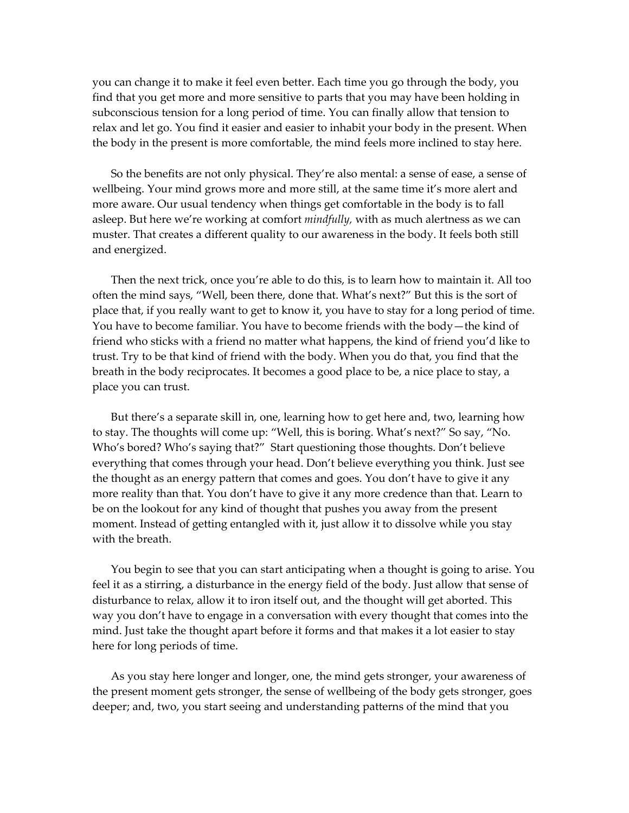you can change it to make it feel even better. Each time you go through the body, you find that you get more and more sensitive to parts that you may have been holding in subconscious tension for a long period of time. You can finally allow that tension to relax and let go. You find it easier and easier to inhabit your body in the present. When the body in the present is more comfortable, the mind feels more inclined to stay here.

So the benefits are not only physical. They're also mental: a sense of ease, a sense of wellbeing. Your mind grows more and more still, at the same time it's more alert and more aware. Our usual tendency when things get comfortable in the body is to fall asleep. But here we're working at comfort *mindfully,* with as much alertness as we can muster. That creates a different quality to our awareness in the body. It feels both still and energized.

Then the next trick, once you're able to do this, is to learn how to maintain it. All too often the mind says, "Well, been there, done that. What's next?" But this is the sort of place that, if you really want to get to know it, you have to stay for a long period of time. You have to become familiar. You have to become friends with the body—the kind of friend who sticks with a friend no matter what happens, the kind of friend you'd like to trust. Try to be that kind of friend with the body. When you do that, you find that the breath in the body reciprocates. It becomes a good place to be, a nice place to stay, a place you can trust.

But there's a separate skill in, one, learning how to get here and, two, learning how to stay. The thoughts will come up: "Well, this is boring. What's next?" So say, "No. Who's bored? Who's saying that?" Start questioning those thoughts. Don't believe everything that comes through your head. Don't believe everything you think. Just see the thought as an energy pattern that comes and goes. You don't have to give it any more reality than that. You don't have to give it any more credence than that. Learn to be on the lookout for any kind of thought that pushes you away from the present moment. Instead of getting entangled with it, just allow it to dissolve while you stay with the breath.

You begin to see that you can start anticipating when a thought is going to arise. You feel it as a stirring, a disturbance in the energy field of the body. Just allow that sense of disturbance to relax, allow it to iron itself out, and the thought will get aborted. This way you don't have to engage in a conversation with every thought that comes into the mind. Just take the thought apart before it forms and that makes it a lot easier to stay here for long periods of time.

As you stay here longer and longer, one, the mind gets stronger, your awareness of the present moment gets stronger, the sense of wellbeing of the body gets stronger, goes deeper; and, two, you start seeing and understanding patterns of the mind that you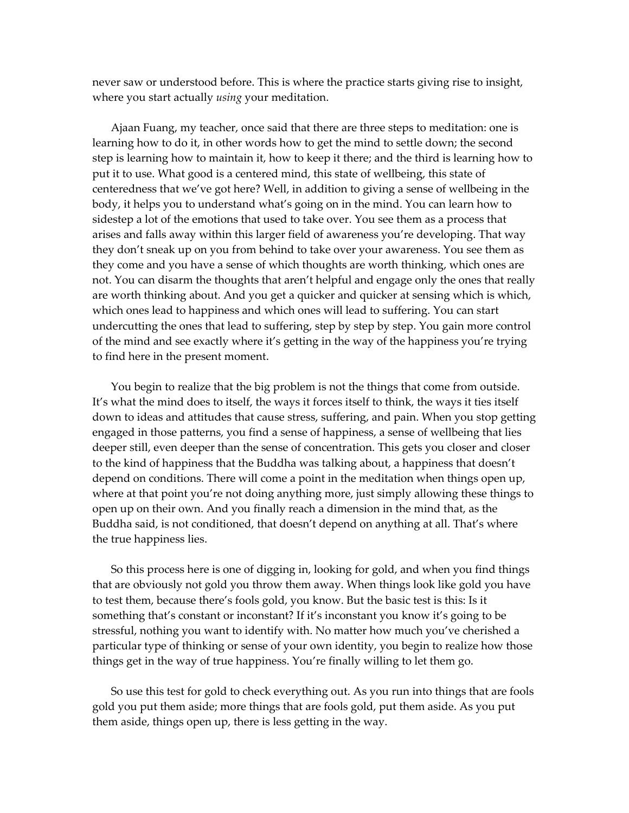never saw or understood before. This is where the practice starts giving rise to insight, where you start actually *using* your meditation.

Ajaan Fuang, my teacher, once said that there are three steps to meditation: one is learning how to do it, in other words how to get the mind to settle down; the second step is learning how to maintain it, how to keep it there; and the third is learning how to put it to use. What good is a centered mind, this state of wellbeing, this state of centeredness that we've got here? Well, in addition to giving a sense of wellbeing in the body, it helps you to understand what's going on in the mind. You can learn how to sidestep a lot of the emotions that used to take over. You see them as a process that arises and falls away within this larger field of awareness you're developing. That way they don't sneak up on you from behind to take over your awareness. You see them as they come and you have a sense of which thoughts are worth thinking, which ones are not. You can disarm the thoughts that aren't helpful and engage only the ones that really are worth thinking about. And you get a quicker and quicker at sensing which is which, which ones lead to happiness and which ones will lead to suffering. You can start undercutting the ones that lead to suffering, step by step by step. You gain more control of the mind and see exactly where it's getting in the way of the happiness you're trying to find here in the present moment.

You begin to realize that the big problem is not the things that come from outside. It's what the mind does to itself, the ways it forces itself to think, the ways it ties itself down to ideas and attitudes that cause stress, suffering, and pain. When you stop getting engaged in those patterns, you find a sense of happiness, a sense of wellbeing that lies deeper still, even deeper than the sense of concentration. This gets you closer and closer to the kind of happiness that the Buddha was talking about, a happiness that doesn't depend on conditions. There will come a point in the meditation when things open up, where at that point you're not doing anything more, just simply allowing these things to open up on their own. And you finally reach a dimension in the mind that, as the Buddha said, is not conditioned, that doesn't depend on anything at all. That's where the true happiness lies.

So this process here is one of digging in, looking for gold, and when you find things that are obviously not gold you throw them away. When things look like gold you have to test them, because there's fools gold, you know. But the basic test is this: Is it something that's constant or inconstant? If it's inconstant you know it's going to be stressful, nothing you want to identify with. No matter how much you've cherished a particular type of thinking or sense of your own identity, you begin to realize how those things get in the way of true happiness. You're finally willing to let them go.

So use this test for gold to check everything out. As you run into things that are fools gold you put them aside; more things that are fools gold, put them aside. As you put them aside, things open up, there is less getting in the way.